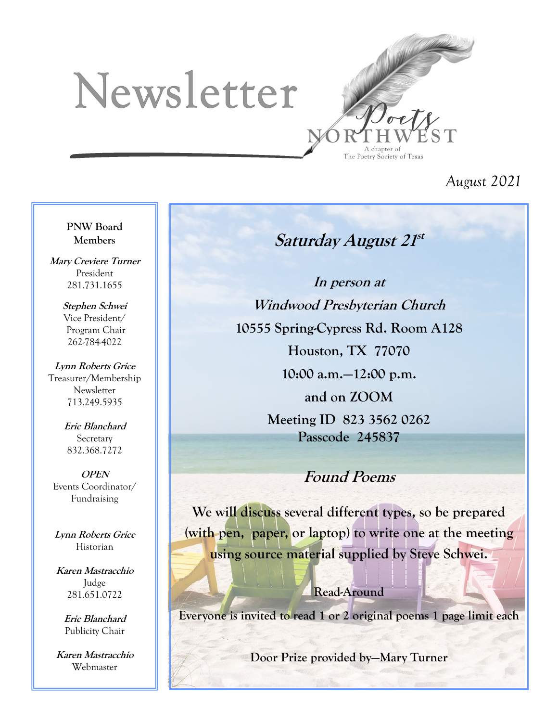# Newsletter



*August 2021*

#### **PNW Board Members**

**Mary Creviere Turner** President 281.731.1655

> **Stephen Schwei** Vice President/ Program Chair 262-784-4022

**Lynn Roberts Grice** Treasurer/Membership **Newsletter** 713.249.5935

> **Eric Blanchard** Secretary 832.368.7272

**OPEN** Events Coordinator/ Fundraising

**Lynn Roberts Grice** Historian

**Karen Mastracchio** Judge 281.651.0722

> **Eric Blanchard** Publicity Chair

**Karen Mastracchio** Webmaster

# **Saturday August 21 st**

**In person at Windwood Presbyterian Church 10555 Spring-Cypress Rd. Room A128 Houston, TX 77070**

**10:00 a.m.—12:00 p.m.** 

**and on ZOOM Meeting ID 823 3562 0262 Passcode 245837**

## **Found Poems**

**We will discuss several different types, so be prepared (with pen, paper, or laptop) to write one at the meeting using source material supplied by Steve Schwei.**

#### **Read-Around**

**Everyone is invited to read 1 or 2 original poems 1 page limit each**

**Door Prize provided by—Mary Turner**